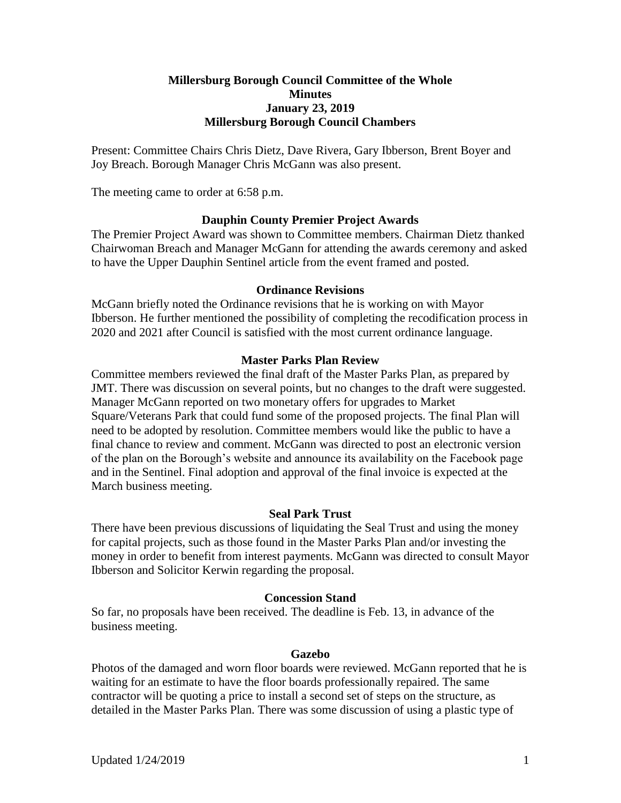### **Millersburg Borough Council Committee of the Whole Minutes January 23, 2019 Millersburg Borough Council Chambers**

Present: Committee Chairs Chris Dietz, Dave Rivera, Gary Ibberson, Brent Boyer and Joy Breach. Borough Manager Chris McGann was also present.

The meeting came to order at 6:58 p.m.

### **Dauphin County Premier Project Awards**

The Premier Project Award was shown to Committee members. Chairman Dietz thanked Chairwoman Breach and Manager McGann for attending the awards ceremony and asked to have the Upper Dauphin Sentinel article from the event framed and posted.

#### **Ordinance Revisions**

McGann briefly noted the Ordinance revisions that he is working on with Mayor Ibberson. He further mentioned the possibility of completing the recodification process in 2020 and 2021 after Council is satisfied with the most current ordinance language.

#### **Master Parks Plan Review**

Committee members reviewed the final draft of the Master Parks Plan, as prepared by JMT. There was discussion on several points, but no changes to the draft were suggested. Manager McGann reported on two monetary offers for upgrades to Market Square/Veterans Park that could fund some of the proposed projects. The final Plan will need to be adopted by resolution. Committee members would like the public to have a final chance to review and comment. McGann was directed to post an electronic version of the plan on the Borough's website and announce its availability on the Facebook page and in the Sentinel. Final adoption and approval of the final invoice is expected at the March business meeting.

#### **Seal Park Trust**

There have been previous discussions of liquidating the Seal Trust and using the money for capital projects, such as those found in the Master Parks Plan and/or investing the money in order to benefit from interest payments. McGann was directed to consult Mayor Ibberson and Solicitor Kerwin regarding the proposal.

#### **Concession Stand**

So far, no proposals have been received. The deadline is Feb. 13, in advance of the business meeting.

#### **Gazebo**

Photos of the damaged and worn floor boards were reviewed. McGann reported that he is waiting for an estimate to have the floor boards professionally repaired. The same contractor will be quoting a price to install a second set of steps on the structure, as detailed in the Master Parks Plan. There was some discussion of using a plastic type of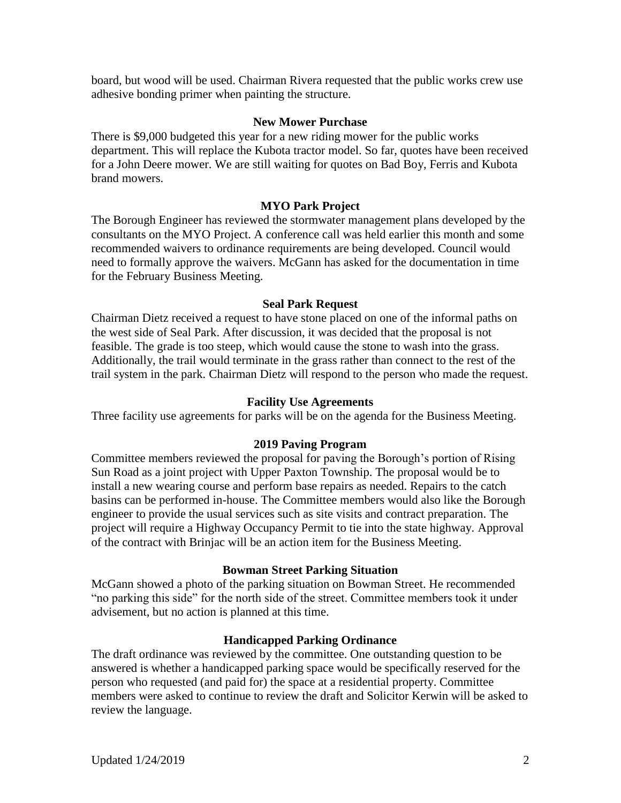board, but wood will be used. Chairman Rivera requested that the public works crew use adhesive bonding primer when painting the structure.

### **New Mower Purchase**

There is \$9,000 budgeted this year for a new riding mower for the public works department. This will replace the Kubota tractor model. So far, quotes have been received for a John Deere mower. We are still waiting for quotes on Bad Boy, Ferris and Kubota brand mowers.

# **MYO Park Project**

The Borough Engineer has reviewed the stormwater management plans developed by the consultants on the MYO Project. A conference call was held earlier this month and some recommended waivers to ordinance requirements are being developed. Council would need to formally approve the waivers. McGann has asked for the documentation in time for the February Business Meeting.

### **Seal Park Request**

Chairman Dietz received a request to have stone placed on one of the informal paths on the west side of Seal Park. After discussion, it was decided that the proposal is not feasible. The grade is too steep, which would cause the stone to wash into the grass. Additionally, the trail would terminate in the grass rather than connect to the rest of the trail system in the park. Chairman Dietz will respond to the person who made the request.

### **Facility Use Agreements**

Three facility use agreements for parks will be on the agenda for the Business Meeting.

# **2019 Paving Program**

Committee members reviewed the proposal for paving the Borough's portion of Rising Sun Road as a joint project with Upper Paxton Township. The proposal would be to install a new wearing course and perform base repairs as needed. Repairs to the catch basins can be performed in-house. The Committee members would also like the Borough engineer to provide the usual services such as site visits and contract preparation. The project will require a Highway Occupancy Permit to tie into the state highway. Approval of the contract with Brinjac will be an action item for the Business Meeting.

# **Bowman Street Parking Situation**

McGann showed a photo of the parking situation on Bowman Street. He recommended "no parking this side" for the north side of the street. Committee members took it under advisement, but no action is planned at this time.

# **Handicapped Parking Ordinance**

The draft ordinance was reviewed by the committee. One outstanding question to be answered is whether a handicapped parking space would be specifically reserved for the person who requested (and paid for) the space at a residential property. Committee members were asked to continue to review the draft and Solicitor Kerwin will be asked to review the language.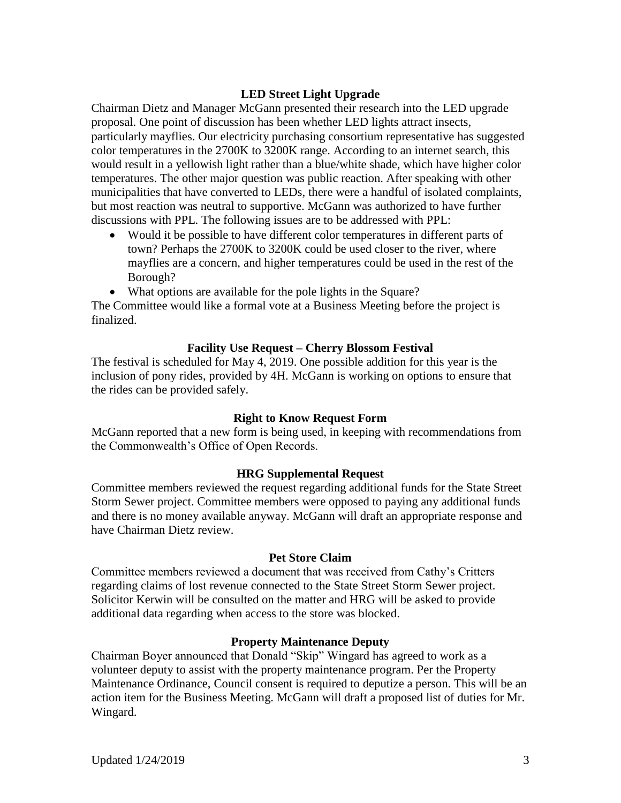# **LED Street Light Upgrade**

Chairman Dietz and Manager McGann presented their research into the LED upgrade proposal. One point of discussion has been whether LED lights attract insects, particularly mayflies. Our electricity purchasing consortium representative has suggested color temperatures in the 2700K to 3200K range. According to an internet search, this would result in a yellowish light rather than a blue/white shade, which have higher color temperatures. The other major question was public reaction. After speaking with other municipalities that have converted to LEDs, there were a handful of isolated complaints, but most reaction was neutral to supportive. McGann was authorized to have further discussions with PPL. The following issues are to be addressed with PPL:

- Would it be possible to have different color temperatures in different parts of town? Perhaps the 2700K to 3200K could be used closer to the river, where mayflies are a concern, and higher temperatures could be used in the rest of the Borough?
- What options are available for the pole lights in the Square?

The Committee would like a formal vote at a Business Meeting before the project is finalized.

### **Facility Use Request – Cherry Blossom Festival**

The festival is scheduled for May 4, 2019. One possible addition for this year is the inclusion of pony rides, provided by 4H. McGann is working on options to ensure that the rides can be provided safely.

### **Right to Know Request Form**

McGann reported that a new form is being used, in keeping with recommendations from the Commonwealth's Office of Open Records.

### **HRG Supplemental Request**

Committee members reviewed the request regarding additional funds for the State Street Storm Sewer project. Committee members were opposed to paying any additional funds and there is no money available anyway. McGann will draft an appropriate response and have Chairman Dietz review.

### **Pet Store Claim**

Committee members reviewed a document that was received from Cathy's Critters regarding claims of lost revenue connected to the State Street Storm Sewer project. Solicitor Kerwin will be consulted on the matter and HRG will be asked to provide additional data regarding when access to the store was blocked.

### **Property Maintenance Deputy**

Chairman Boyer announced that Donald "Skip" Wingard has agreed to work as a volunteer deputy to assist with the property maintenance program. Per the Property Maintenance Ordinance, Council consent is required to deputize a person. This will be an action item for the Business Meeting. McGann will draft a proposed list of duties for Mr. Wingard.